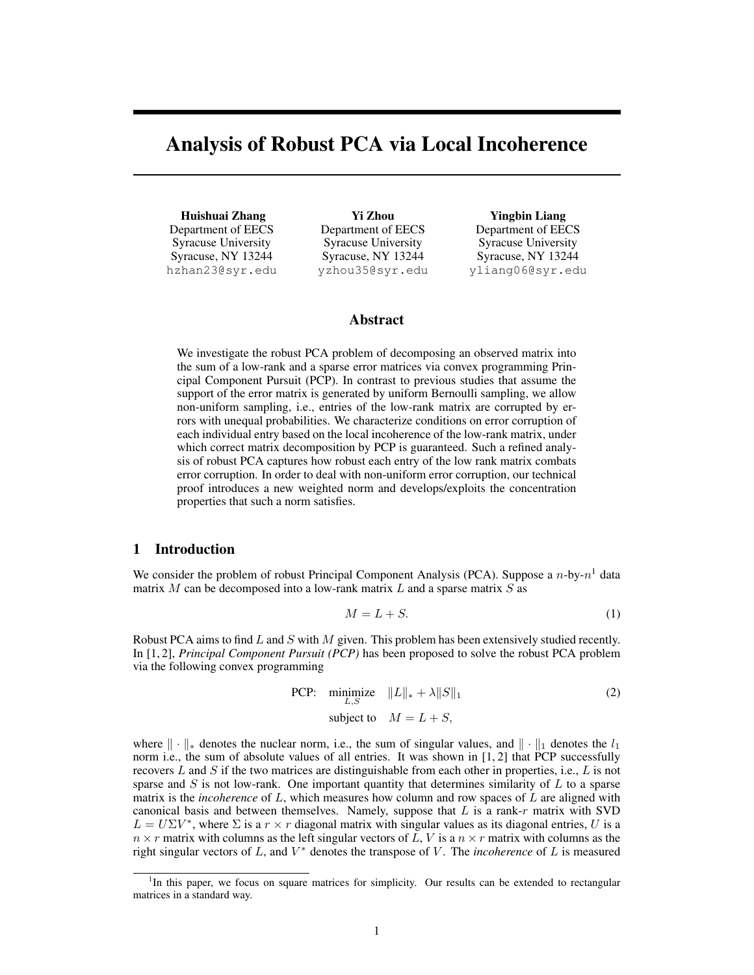# <span id="page-0-6"></span><span id="page-0-3"></span>Analysis of Robust PCA via Local Incoherence

<span id="page-0-4"></span>Huishuai Zhang Department of EECS Syracuse University Syracuse, NY 13244 hzhan23@syr.edu

Yi Zhou Department of EECS Syracuse University Syracuse, NY 13244 yzhou35@syr.edu

Yingbin Liang Department of EECS Syracuse University Syracuse, NY 13244 yliang06@syr.edu

# Abstract

<span id="page-0-8"></span><span id="page-0-7"></span><span id="page-0-5"></span>We investigate the robust PCA problem of decomposing an observed matrix into the sum of a low-rank and a sparse error matrices via convex programming Principal Component Pursuit (PCP). In contrast to previous studies that assume the support of the error matrix is generated by uniform Bernoulli sampling, we allow non-uniform sampling, i.e., entries of the low-rank matrix are corrupted by errors with unequal probabilities. We characterize conditions on error corruption of each individual entry based on the local incoherence of the low-rank matrix, under which correct matrix decomposition by PCP is guaranteed. Such a refined analysis of robust PCA captures how robust each entry of the low rank matrix combats error corruption. In order to deal with non-uniform error corruption, our technical proof introduces a new weighted norm and develops/exploits the concentration properties that such a norm satisfies.

# <span id="page-0-9"></span><span id="page-0-1"></span>1 Introduction

We consider the problem of robust Principal Component Analysis (PCA). Suppose a *n*-by-*n*[1](#page-0-0) data matrix *M* can be decomposed into a low-rank matrix *L* and a sparse matrix *S* as

$$
M = L + S.\t\t(1)
$$

<span id="page-0-2"></span>Robust PCA aims to find *L* and *S* with *M* given. This problem has been extensively studied recently. In [\[1,](#page-8-0) [2\]](#page-8-1), *Principal Component Pursuit (PCP)* has been proposed to solve the robust PCA problem via the following convex programming

PCP: minimize 
$$
||L||_* + \lambda ||S||_1
$$
 (2)  
subject to  $M = L + S$ ,

where  $\|\cdot\|_*$  denotes the nuclear norm, i.e., the sum of singular values, and  $\|\cdot\|_1$  denotes the  $l_1$ norm i.e., the sum of absolute values of all entries. It was shown in [\[1,](#page-8-0) [2\]](#page-8-1) that PCP successfully recovers *L* and *S* if the two matrices are distinguishable from each other in properties, i.e., *L* is not sparse and *S* is not low-rank. One important quantity that determines similarity of *L* to a sparse matrix is the *incoherence* of *L*, which measures how column and row spaces of *L* are aligned with canonical basis and between themselves. Namely, suppose that *L* is a rank-*r* matrix with SVD  $L = U\Sigma V^*$ , where  $\Sigma$  is a  $r \times r$  diagonal matrix with singular values as its diagonal entries, *U* is a  $n \times r$  matrix with columns as the left singular vectors of *L*, *V* is a  $n \times r$  matrix with columns as the right singular vectors of  $L$ , and  $V^*$  denotes the transpose of  $V$ . The *incoherence* of  $L$  is measured

<span id="page-0-0"></span><sup>&</sup>lt;sup>1</sup>In this paper, we focus on square matrices for simplicity. Our results can be extended to rectangular matrices in a standard way.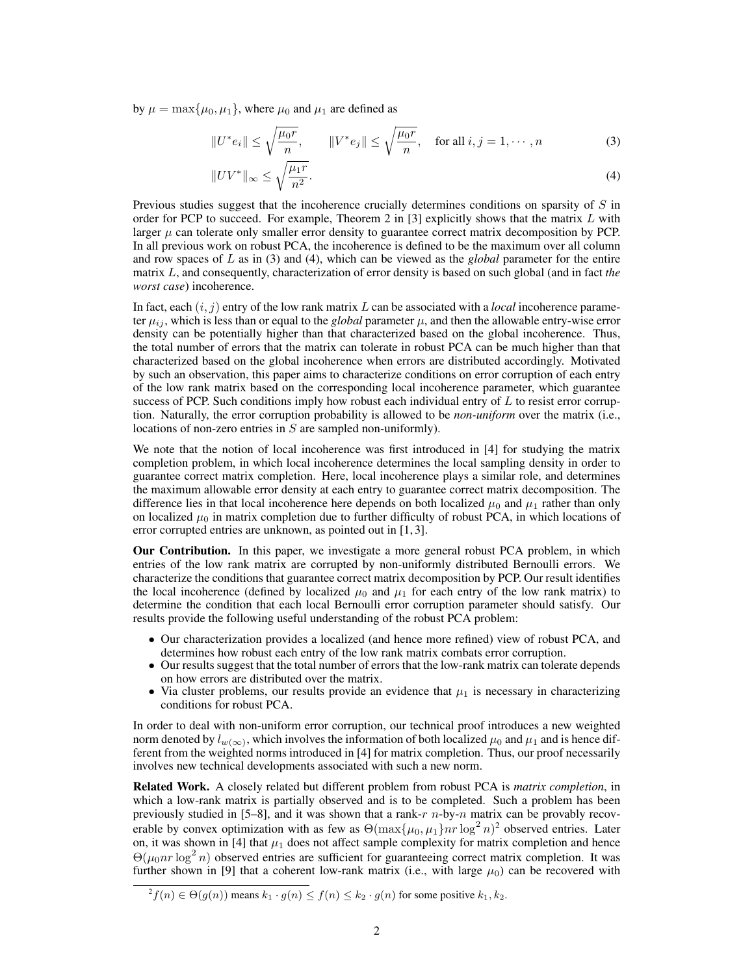by  $\mu = \max{\mu_0, \mu_1}$ , where  $\mu_0$  and  $\mu_1$  are defined as

<span id="page-1-0"></span>
$$
||U^*e_i|| \le \sqrt{\frac{\mu_0 r}{n}}, \qquad ||V^*e_j|| \le \sqrt{\frac{\mu_0 r}{n}}, \quad \text{for all } i, j = 1, \cdots, n
$$
 (3)

<span id="page-1-1"></span>
$$
||UV^*||_{\infty} \le \sqrt{\frac{\mu_1 r}{n^2}}.\tag{4}
$$

Previous studies suggest that the incoherence crucially determines conditions on sparsity of *S* in order for PCP to succeed. For example, Theorem 2 in [\[3\]](#page-8-2) explicitly shows that the matrix *L* with larger  $\mu$  can tolerate only smaller error density to guarantee correct matrix decomposition by PCP. In all previous work on robust PCA, the incoherence is defined to be the maximum over all column and row spaces of *L* as in [\(3\)](#page-1-0) and [\(4\)](#page-1-1), which can be viewed as the *global* parameter for the entire matrix *L*, and consequently, characterization of error density is based on such global (and in fact *the worst case*) incoherence.

In fact, each  $(i, j)$  entry of the low rank matrix *L* can be associated with a *local* incoherence parameter  $\mu_{ij}$ , which is less than or equal to the *global* parameter  $\mu$ , and then the allowable entry-wise error density can be potentially higher than that characterized based on the global incoherence. Thus, the total number of errors that the matrix can tolerate in robust PCA can be much higher than that characterized based on the global incoherence when errors are distributed accordingly. Motivated by such an observation, this paper aims to characterize conditions on error corruption of each entry of the low rank matrix based on the corresponding local incoherence parameter, which guarantee success of PCP. Such conditions imply how robust each individual entry of *L* to resist error corruption. Naturally, the error corruption probability is allowed to be *non-uniform* over the matrix (i.e., locations of non-zero entries in *S* are sampled non-uniformly).

We note that the notion of local incoherence was first introduced in [\[4\]](#page-8-3) for studying the matrix completion problem, in which local incoherence determines the local sampling density in order to guarantee correct matrix completion. Here, local incoherence plays a similar role, and determines the maximum allowable error density at each entry to guarantee correct matrix decomposition. The difference lies in that local incoherence here depends on both localized  $\mu_0$  and  $\mu_1$  rather than only on localized  $\mu_0$  in matrix completion due to further difficulty of robust PCA, in which locations of error corrupted entries are unknown, as pointed out in [\[1,](#page-8-0) [3\]](#page-8-2).

Our Contribution. In this paper, we investigate a more general robust PCA problem, in which entries of the low rank matrix are corrupted by non-uniformly distributed Bernoulli errors. We characterize the conditions that guarantee correct matrix decomposition by PCP. Our result identifies the local incoherence (defined by localized  $\mu_0$  and  $\mu_1$  for each entry of the low rank matrix) to determine the condition that each local Bernoulli error corruption parameter should satisfy. Our results provide the following useful understanding of the robust PCA problem:

- Our characterization provides a localized (and hence more refined) view of robust PCA, and determines how robust each entry of the low rank matrix combats error corruption.
- Our results suggest that the total number of errors that the low-rank matrix can tolerate depends on how errors are distributed over the matrix.
- Via cluster problems, our results provide an evidence that  $\mu_1$  is necessary in characterizing conditions for robust PCA.

In order to deal with non-uniform error corruption, our technical proof introduces a new weighted norm denoted by  $l_{w(\infty)}$ , which involves the information of both localized  $\mu_0$  and  $\mu_1$  and is hence different from the weighted norms introduced in [\[4\]](#page-8-3) for matrix completion. Thus, our proof necessarily involves new technical developments associated with such a new norm.

Related Work. A closely related but different problem from robust PCA is *matrix completion*, in which a low-rank matrix is partially observed and is to be completed. Such a problem has been previously studied in [\[5–](#page-8-4)[8\]](#page-8-5), and it was shown that a rank-*r n*-by-*n* matrix can be provably recoverable by convex optimization with as few as  $\Theta(\max{\{\mu_0, \mu_1\}}nr \log^2 n)^2$  $\Theta(\max{\{\mu_0, \mu_1\}}nr \log^2 n)^2$  $\Theta(\max{\{\mu_0, \mu_1\}}nr \log^2 n)^2$  observed entries. Later on, it was shown in  $[4]$  that  $\mu_1$  does not affect sample complexity for matrix completion and hence  $\Theta(\mu_0 n r \log^2 n)$  observed entries are sufficient for guaranteeing correct matrix completion. It was further shown in [\[9\]](#page-8-6) that a coherent low-rank matrix (i.e., with large  $\mu_0$ ) can be recovered with

<span id="page-1-2"></span> $f^2 f(n) \in \Theta(g(n))$  means  $k_1 \cdot g(n) \le f(n) \le k_2 \cdot g(n)$  for some positive  $k_1, k_2$ .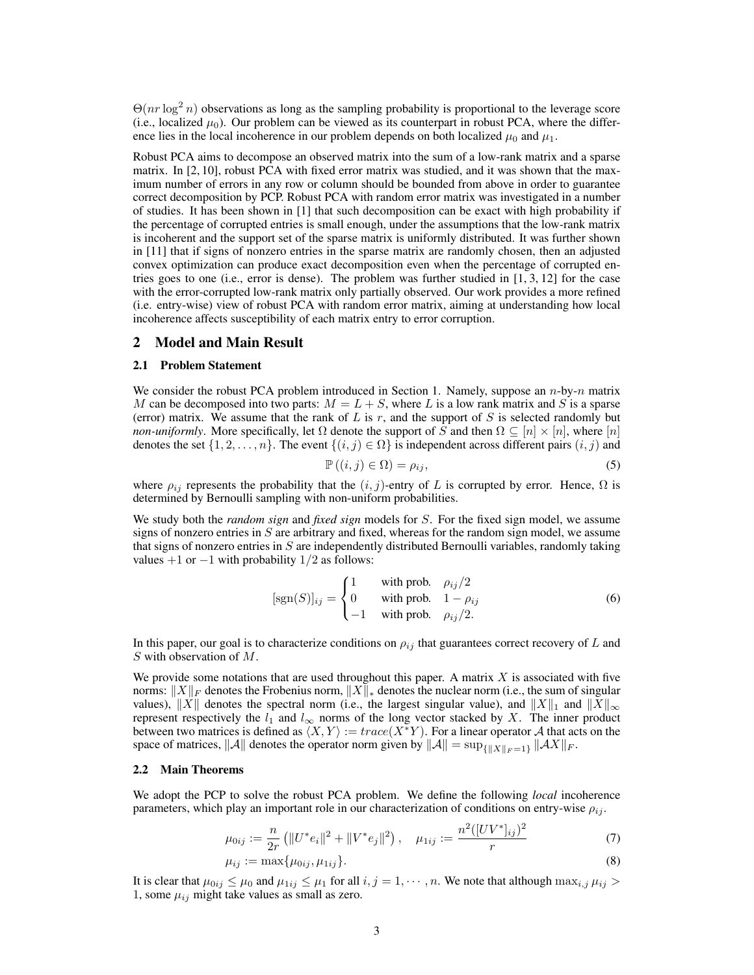$\Theta(nr \log^2 n)$  observations as long as the sampling probability is proportional to the leverage score (i.e., localized  $\mu_0$ ). Our problem can be viewed as its counterpart in robust PCA, where the difference lies in the local incoherence in our problem depends on both localized  $\mu_0$  and  $\mu_1$ .

Robust PCA aims to decompose an observed matrix into the sum of a low-rank matrix and a sparse matrix. In [\[2,](#page-8-1) [10\]](#page-8-7), robust PCA with fixed error matrix was studied, and it was shown that the maximum number of errors in any row or column should be bounded from above in order to guarantee correct decomposition by PCP. Robust PCA with random error matrix was investigated in a number of studies. It has been shown in [\[1\]](#page-8-0) that such decomposition can be exact with high probability if the percentage of corrupted entries is small enough, under the assumptions that the low-rank matrix is incoherent and the support set of the sparse matrix is uniformly distributed. It was further shown in [\[11\]](#page-8-8) that if signs of nonzero entries in the sparse matrix are randomly chosen, then an adjusted convex optimization can produce exact decomposition even when the percentage of corrupted entries goes to one (i.e., error is dense). The problem was further studied in [\[1,](#page-8-0) [3,](#page-8-2) [12\]](#page-8-9) for the case with the error-corrupted low-rank matrix only partially observed. Our work provides a more refined (i.e. entry-wise) view of robust PCA with random error matrix, aiming at understanding how local incoherence affects susceptibility of each matrix entry to error corruption.

## <span id="page-2-0"></span>2 Model and Main Result

## 2.1 Problem Statement

We consider the robust PCA problem introduced in Section [1.](#page-0-1) Namely, suppose an *n*-by-*n* matrix *M* can be decomposed into two parts:  $M = L + S$ , where *L* is a low rank matrix and *S* is a sparse (error) matrix. We assume that the rank of *L* is *r*, and the support of *S* is selected randomly but *non-uniformly*. More specifically, let  $\Omega$  denote the support of *S* and then  $\Omega \subseteq [n] \times [n]$ , where  $[n]$ denotes the set  $\{1, 2, ..., n\}$ . The event  $\{(i, j) \in \Omega\}$  is independent across different pairs  $(i, j)$  and

<span id="page-2-1"></span>
$$
\mathbb{P}\left((i,j)\in\Omega\right)=\rho_{ij},\tag{5}
$$

where  $\rho_{ij}$  represents the probability that the  $(i, j)$ -entry of *L* is corrupted by error. Hence,  $\Omega$  is determined by Bernoulli sampling with non-uniform probabilities.

We study both the *random sign* and *fixed sign* models for *S*. For the fixed sign model, we assume signs of nonzero entries in *S* are arbitrary and fixed, whereas for the random sign model, we assume that signs of nonzero entries in *S* are independently distributed Bernoulli variables, randomly taking values  $+1$  or  $-1$  with probability  $1/2$  as follows:

$$
[sgn(S)]_{ij} = \begin{cases} 1 & \text{with prob. } \rho_{ij}/2\\ 0 & \text{with prob. } 1 - \rho_{ij} \\ -1 & \text{with prob. } \rho_{ij}/2. \end{cases}
$$
(6)

In this paper, our goal is to characterize conditions on  $\rho_{ij}$  that guarantees correct recovery of *L* and *S* with observation of *M*.

We provide some notations that are used throughout this paper. A matrix *X* is associated with five norms:  $||X||_F$  denotes the Frobenius norm,  $||X||_*$  denotes the nuclear norm (i.e., the sum of singular values),  $||X||$  denotes the spectral norm (i.e., the largest singular value), and  $||X||_1$  and  $||X||_\infty$ represent respectively the  $l_1$  and  $l_\infty$  norms of the long vector stacked by X. The inner product between two matrices is defined as  $\langle X, Y \rangle := trace(X^*Y)$ . For a linear operator *A* that acts on the space of matrices,  $||A||$  denotes the operator norm given by  $||A|| = \sup_{\{||X||_F = 1\}} ||AX||_F$ .

## 2.2 Main Theorems

We adopt the PCP to solve the robust PCA problem. We define the following *local* incoherence parameters, which play an important role in our characterization of conditions on entry-wise  $\rho_{ij}$ .

$$
\mu_{0ij} := \frac{n}{2r} \left( \|U^* e_i\|^2 + \|V^* e_j\|^2 \right), \quad \mu_{1ij} := \frac{n^2 \left( [UV^*]_{ij} \right)^2}{r} \tag{7}
$$

$$
\mu_{ij} := \max\{\mu_{0ij}, \mu_{1ij}\}.
$$
\n(8)

It is clear that  $\mu_{0ij} \leq \mu_0$  and  $\mu_{1ij} \leq \mu_1$  for all  $i, j = 1, \dots, n$ . We note that although  $\max_{i,j} \mu_{ij} >$ 1, some  $\mu_{ij}$  might take values as small as zero.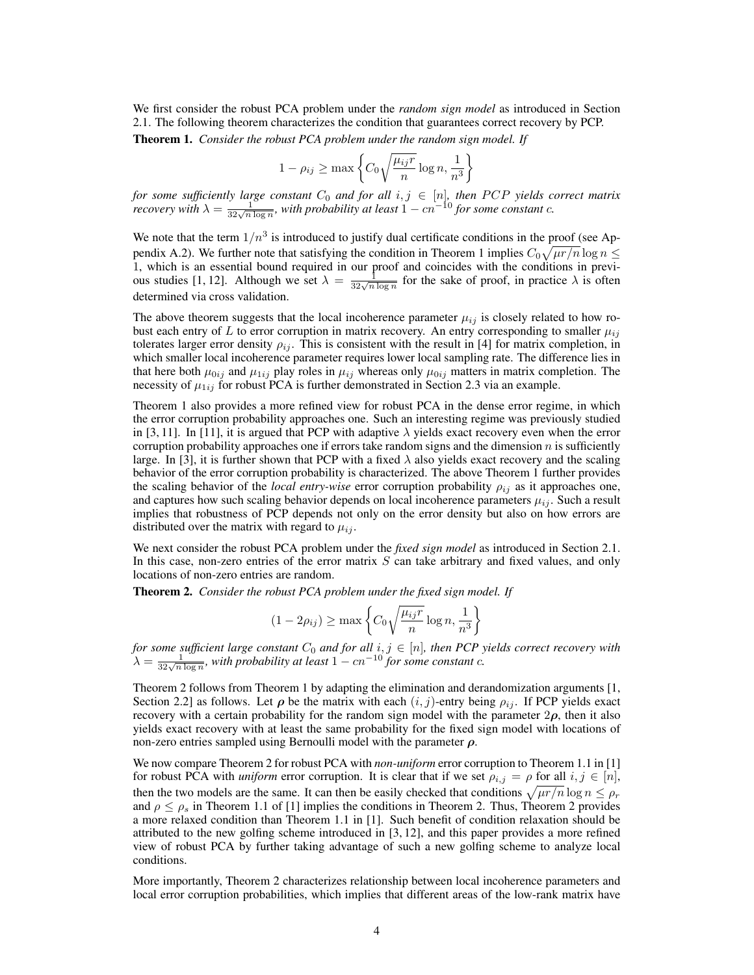We first consider the robust PCA problem under the *random sign model* as introduced in Section [2.1.](#page-2-0) The following theorem characterizes the condition that guarantees correct recovery by PCP.

<span id="page-3-0"></span>Theorem 1. *Consider the robust PCA problem under the random sign model. If*

$$
1 - \rho_{ij} \ge \max\left\{C_0\sqrt{\frac{\mu_{ij}r}{n}}\log n, \frac{1}{n^3}\right\}
$$

for some sufficiently large constant  $C_0$  and for all  $i, j \in [n]$ , then PCP yields correct matrix recovery with  $\lambda = \frac{1}{32\sqrt{n \log n}}$ , with probability at least  $1 - cn^{-10}$  for some constant c.

We note that the term  $1/n<sup>3</sup>$  is introduced to justify dual certificate conditions in the proof (see Ap-pendix [A.2\)](#page-0-2). We further note that satisfying the condition in Theorem [1](#page-3-0) implies  $C_0\sqrt{\mu r/n}\log n \leq$ 1, which is an essential bound required in our proof and coincides with the conditions in previ-ous studies [\[1,](#page-8-0) [12\]](#page-8-9). Although we set  $\lambda = \frac{1}{32\sqrt{n \log n}}$  for the sake of proof, in practice  $\lambda$  is often determined via cross validation.

The above theorem suggests that the local incoherence parameter  $\mu_{ij}$  is closely related to how robust each entry of *L* to error corruption in matrix recovery. An entry corresponding to smaller  $\mu_{ij}$ tolerates larger error density  $\rho_{ij}$ . This is consistent with the result in [\[4\]](#page-8-3) for matrix completion, in which smaller local incoherence parameter requires lower local sampling rate. The difference lies in that here both  $\mu_{0ij}$  and  $\mu_{1ij}$  play roles in  $\mu_{ij}$  whereas only  $\mu_{0ij}$  matters in matrix completion. The necessity of  $\mu_{1ij}$  for robust PCA is further demonstrated in Section [2.3](#page-4-0) via an example.

Theorem [1](#page-3-0) also provides a more refined view for robust PCA in the dense error regime, in which the error corruption probability approaches one. Such an interesting regime was previously studied in [\[3,](#page-8-2) [11\]](#page-8-8). In [\[11\]](#page-8-8), it is argued that PCP with adaptive  $\lambda$  yields exact recovery even when the error corruption probability approaches one if errors take random signs and the dimension  $n$  is sufficiently large. In [\[3\]](#page-8-2), it is further shown that PCP with a fixed  $\lambda$  also yields exact recovery and the scaling behavior of the error corruption probability is characterized. The above Theorem [1](#page-3-0) further provides the scaling behavior of the *local entry-wise* error corruption probability  $\rho_{ij}$  as it approaches one, and captures how such scaling behavior depends on local incoherence parameters  $\mu_{ij}$ . Such a result implies that robustness of PCP depends not only on the error density but also on how errors are distributed over the matrix with regard to  $\mu_{ij}$ .

We next consider the robust PCA problem under the *fixed sign model* as introduced in Section [2.1.](#page-2-0) In this case, non-zero entries of the error matrix *S* can take arbitrary and fixed values, and only locations of non-zero entries are random.

<span id="page-3-1"></span>Theorem 2. *Consider the robust PCA problem under the fixed sign model. If*

$$
(1 - 2\rho_{ij}) \ge \max\left\{C_0\sqrt{\frac{\mu_{ij}r}{n}}\log n, \frac{1}{n^3}\right\}
$$

for some sufficient large constant  $C_0$  and for all  $i, j \in [n]$ , then PCP yields correct recovery with  $\lambda = \frac{1}{32\sqrt{n \log n}}$ , with probability at least  $1 - cn^{-10}$  for some constant c.

Theorem [2](#page-3-1) follows from Theorem [1](#page-3-0) by adapting the elimination and derandomization arguments [\[1,](#page-8-0) Section 2.2] as follows. Let  $\rho$  be the matrix with each  $(i, j)$ -entry being  $\rho_{ij}$ . If PCP yields exact recovery with a certain probability for the random sign model with the parameter  $2\rho$ , then it also yields exact recovery with at least the same probability for the fixed sign model with locations of non-zero entries sampled using Bernoulli model with the parameter  $\rho$ .

We now compare Theorem [2](#page-3-1) for robust PCA with *non-uniform* error corruption to Theorem 1.1 in [\[1\]](#page-8-0) for robust PCA with *uniform* error corruption. It is clear that if we set  $\rho_{i,j} = \rho$  for all  $i, j \in [n]$ , then the two models are the same. It can then be easily checked that conditions  $\sqrt{\mu r/n \log n} \leq \rho_r$ and  $\rho \le \rho_s$  in Theorem 1.1 of [\[1\]](#page-8-0) implies the conditions in Theorem [2.](#page-3-1) Thus, Theorem [2](#page-3-1) provides a more relaxed condition than Theorem 1.1 in [\[1\]](#page-8-0). Such benefit of condition relaxation should be attributed to the new golfing scheme introduced in [\[3,](#page-8-2) [12\]](#page-8-9), and this paper provides a more refined view of robust PCA by further taking advantage of such a new golfing scheme to analyze local conditions.

More importantly, Theorem [2](#page-3-1) characterizes relationship between local incoherence parameters and local error corruption probabilities, which implies that different areas of the low-rank matrix have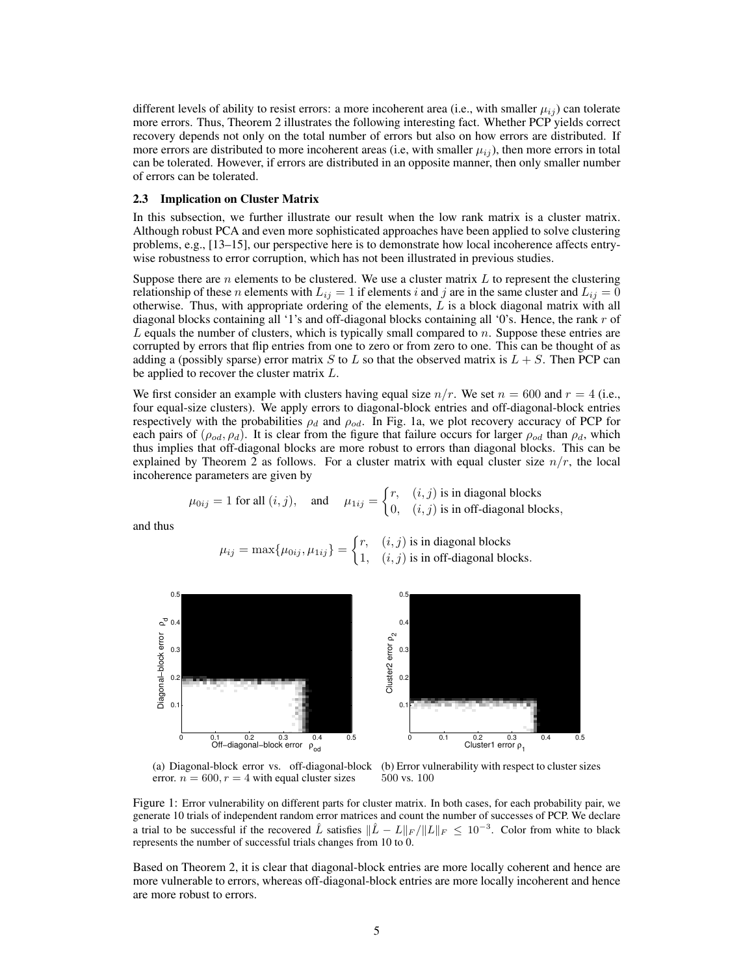different levels of ability to resist errors: a more incoherent area (i.e., with smaller  $\mu_{ij}$ ) can tolerate more errors. Thus, Theorem [2](#page-3-1) illustrates the following interesting fact. Whether PCP yields correct recovery depends not only on the total number of errors but also on how errors are distributed. If more errors are distributed to more incoherent areas (i.e, with smaller  $\mu_{ij}$ ), then more errors in total can be tolerated. However, if errors are distributed in an opposite manner, then only smaller number of errors can be tolerated.

#### <span id="page-4-0"></span>2.3 Implication on Cluster Matrix

In this subsection, we further illustrate our result when the low rank matrix is a cluster matrix. Although robust PCA and even more sophisticated approaches have been applied to solve clustering problems, e.g., [\[13–](#page-8-10)[15\]](#page-8-11), our perspective here is to demonstrate how local incoherence affects entrywise robustness to error corruption, which has not been illustrated in previous studies.

Suppose there are *n* elements to be clustered. We use a cluster matrix *L* to represent the clustering relationship of these *n* elements with  $L_{ij} = 1$  if elements *i* and *j* are in the same cluster and  $L_{ij} = 0$ otherwise. Thus, with appropriate ordering of the elements, *L* is a block diagonal matrix with all diagonal blocks containing all '1's and off-diagonal blocks containing all '0's. Hence, the rank *r* of *L* equals the number of clusters, which is typically small compared to *n*. Suppose these entries are corrupted by errors that flip entries from one to zero or from zero to one. This can be thought of as adding a (possibly sparse) error matrix *S* to *L* so that the observed matrix is  $L + S$ . Then PCP can be applied to recover the cluster matrix *L*.

We first consider an example with clusters having equal size  $n/r$ . We set  $n = 600$  and  $r = 4$  (i.e., four equal-size clusters). We apply errors to diagonal-block entries and off-diagonal-block entries respectively with the probabilities  $\rho_d$  and  $\rho_{od}$ . In Fig. [1a,](#page-4-1) we plot recovery accuracy of PCP for each pairs of  $(\rho_{od}, \rho_d)$ . It is clear from the figure that failure occurs for larger  $\rho_{od}$  than  $\rho_d$ , which thus implies that off-diagonal blocks are more robust to errors than diagonal blocks. This can be explained by Theorem [2](#page-3-1) as follows. For a cluster matrix with equal cluster size  $n/r$ , the local incoherence parameters are given by

$$
\mu_{0ij} = 1
$$
 for all  $(i, j)$ , and  $\mu_{1ij} = \begin{cases} r, & (i, j) \text{ is in diagonal blocks} \\ 0, & (i, j) \text{ is in off-diagonal blocks,} \end{cases}$ 

and thus

 $\mu_{ij} = \max\{\mu_{0ij}, \mu_{1ij}\} =$  $\int r$ ,  $(i, j)$  is in diagonal blocks 1*,* (*i, j*) is in off-diagonal blocks*.*

<span id="page-4-1"></span>

(a) Diagonal-block error vs. off-diagonal-block error.  $n = 600, r = 4$  with equal cluster sizes (b) Error vulnerability with respect to cluster sizes 500 vs. 100

Figure 1: Error vulnerability on different parts for cluster matrix. In both cases, for each probability pair, we generate 10 trials of independent random error matrices and count the number of successes of PCP. We declare a trial to be successful if the recovered  $\hat{L}$  satisfies  $\|\hat{L} - L\|_F / \|L\|_F \leq 10^{-3}$ . Color from white to black represents the number of successful trials changes from 10 to 0.

Based on Theorem [2,](#page-3-1) it is clear that diagonal-block entries are more locally coherent and hence are more vulnerable to errors, whereas off-diagonal-block entries are more locally incoherent and hence are more robust to errors.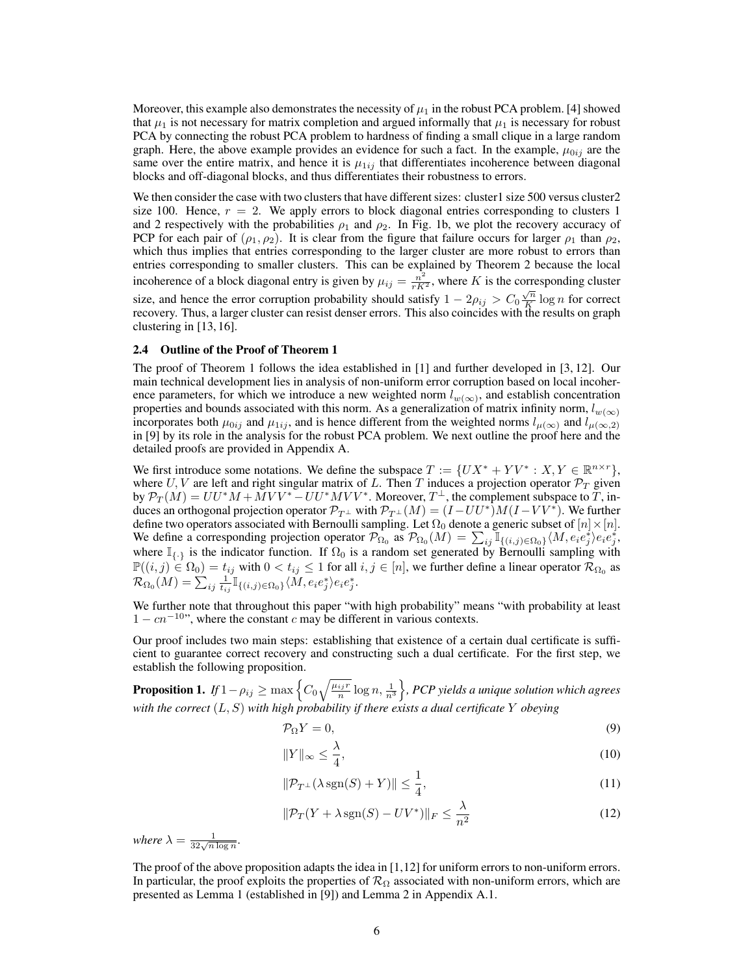Moreover, this example also demonstrates the necessity of  $\mu_1$  in the robust PCA problem. [\[4\]](#page-8-3) showed that  $\mu_1$  is not necessary for matrix completion and argued informally that  $\mu_1$  is necessary for robust PCA by connecting the robust PCA problem to hardness of finding a small clique in a large random graph. Here, the above example provides an evidence for such a fact. In the example,  $\mu_{0ij}$  are the same over the entire matrix, and hence it is  $\mu_{1ij}$  that differentiates incoherence between diagonal blocks and off-diagonal blocks, and thus differentiates their robustness to errors.

We then consider the case with two clusters that have different sizes: cluster1 size 500 versus cluster2 size 100. Hence,  $r = 2$ . We apply errors to block diagonal entries corresponding to clusters 1 and 2 respectively with the probabilities  $\rho_1$  and  $\rho_2$ . In Fig. [1b,](#page-4-1) we plot the recovery accuracy of PCP for each pair of  $(\rho_1, \rho_2)$ . It is clear from the figure that failure occurs for larger  $\rho_1$  than  $\rho_2$ , which thus implies that entries corresponding to the larger cluster are more robust to errors than entries corresponding to smaller clusters. This can be explained by Theorem [2](#page-3-1) because the local incoherence of a block diagonal entry is given by  $\mu_{ij} = \frac{n^2}{rK^2}$ , where *K* is the corresponding cluster size, and hence the error corruption probability should satisfy  $1 - 2\rho_{ij} > C_0 \frac{\sqrt{n}}{K} \log n$  for correct recovery. Thus, a larger cluster can resist denser errors. This also coincides with the results on graph clustering in [\[13,](#page-8-10) [16\]](#page-8-12).

#### 2.4 Outline of the Proof of Theorem [1](#page-3-0)

The proof of Theorem [1](#page-3-0) follows the idea established in [\[1\]](#page-8-0) and further developed in [\[3,](#page-8-2) [12\]](#page-8-9). Our main technical development lies in analysis of non-uniform error corruption based on local incoherence parameters, for which we introduce a new weighted norm  $l_{w(\infty)}$ , and establish concentration properties and bounds associated with this norm. As a generalization of matrix infinity norm,  $l_{w(\infty)}$ incorporates both  $\mu_{0ij}$  and  $\mu_{1ij}$ , and is hence different from the weighted norms  $l_{\mu(\infty)}$  and  $l_{\mu(\infty,2)}$ in [\[9\]](#page-8-6) by its role in the analysis for the robust PCA problem. We next outline the proof here and the detailed proofs are provided in Appendix [A.](#page-0-3)

We first introduce some notations. We define the subspace  $T := \{UX^* + YV^* : X, Y \in \mathbb{R}^{n \times r}\},$ where  $U, V$  are left and right singular matrix of L. Then T induces a projection operator  $\mathcal{P}_T$  given by  $\mathcal{P}_T(M) = U U^* M + M V V^* - U U^* M V V^*$ . Moreover,  $T^{\perp}$ , the complement subspace to *T*, induces an orthogonal projection operator  $\mathcal{P}_{T^{\perp}}$  with  $\mathcal{P}_{T^{\perp}}(M) = (I - U U^*) M (I - V V^*)$ . We further define two operators associated with Bernoulli sampling. Let  $\Omega_0$  denote a generic subset of  $[n] \times [n]$ . We define a corresponding projection operator  $\mathcal{P}_{\Omega_0}$  as  $\mathcal{P}_{\Omega_0}(M) = \sum_{ij} \mathbb{I}_{\{(i,j)\in\Omega_0\}} \langle M, e_i e_j^* \rangle e_i e_j^*$ where  $\mathbb{I}_{\{\cdot\}}$  is the indicator function. If  $\Omega_0$  is a random set generated by Bernoulli sampling with  $\mathbb{P}((i, j) \in \Omega_0) = t_{ij}$  with  $0 < t_{ij} \le 1$  for all  $i, j \in [n]$ , we further define a linear operator  $\mathcal{R}_{\Omega_0}$  as  $\mathcal{R}_{\Omega_{0}}(M)=\sum_{ij}\frac{1}{t_{ij}}\mathbb{I}_{\{(i,j)\in\Omega_{0}\}}\langle M,e_{i}e_{j}^{*}\rangle e_{i}e_{j}^{*}.$ 

We further note that throughout this paper "with high probability" means "with probability at least  $1 - cn^{-10}$ , where the constant *c* may be different in various contexts.

Our proof includes two main steps: establishing that existence of a certain dual certificate is sufficient to guarantee correct recovery and constructing such a dual certificate. For the first step, we establish the following proposition.

<span id="page-5-0"></span>Proposition 1.  $\textit{If } 1 - \rho_{ij} \geq \max\left\{C_0\sqrt{\frac{\mu_{ij}r}{n}}\log n, \frac{1}{n^3}\right\}$ o *, PCP yields a unique solution which agrees with the correct* (*L, S*) *with high probability if there exists a dual certificate Y obeying*

<span id="page-5-1"></span>
$$
\mathcal{P}_{\Omega}Y = 0,\tag{9}
$$

<span id="page-5-3"></span>
$$
||Y||_{\infty} \le \frac{\lambda}{4},\tag{10}
$$

<span id="page-5-4"></span><span id="page-5-2"></span>
$$
\|\mathcal{P}_{T^{\perp}}(\lambda \operatorname{sgn}(S) + Y)\| \le \frac{1}{4},\tag{11}
$$

$$
\|\mathcal{P}_T(Y + \lambda \operatorname{sgn}(S) - UV^*)\|_F \le \frac{\lambda}{n^2}
$$
\n(12)

where  $\lambda = \frac{1}{32\sqrt{n \log n}}$ .

The proof of the above proposition adapts the idea in [\[1,](#page-8-0)[12\]](#page-8-9) for uniform errors to non-uniform errors. In particular, the proof exploits the properties of  $\mathcal{R}_{\Omega}$  associated with non-uniform errors, which are presented as Lemma [1](#page-0-4) (established in [\[9\]](#page-8-6)) and Lemma [2](#page-0-5) in Appendix [A.1.](#page-0-6)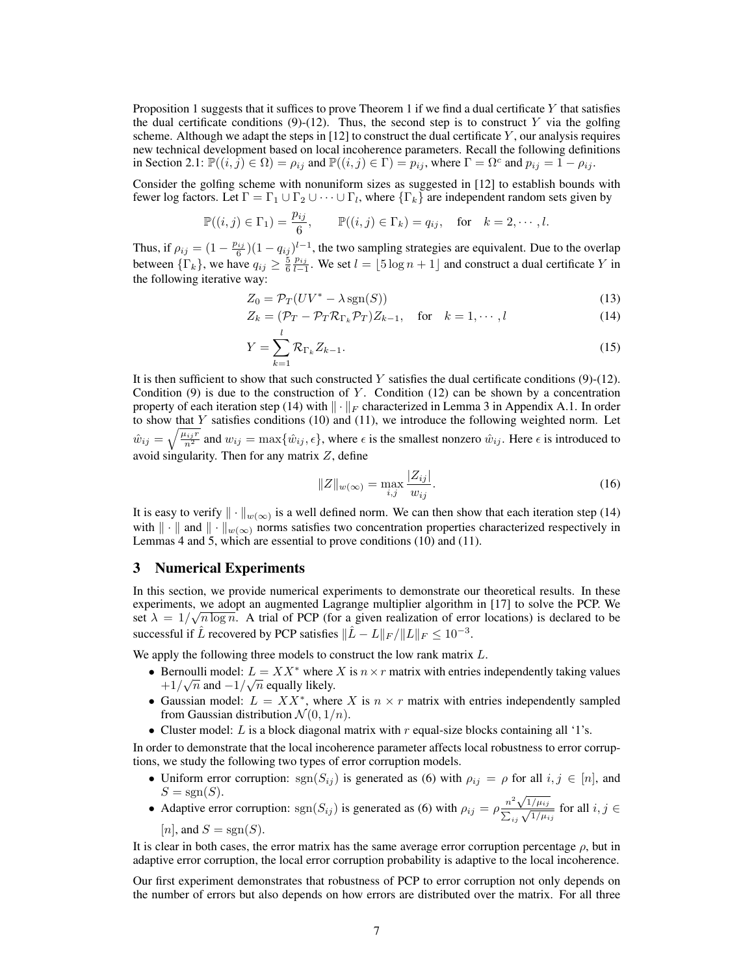Proposition [1](#page-5-0) suggests that it suffices to prove Theorem [1](#page-3-0) if we find a dual certificate *Y* that satisfies the dual certificate conditions  $(9)-(12)$  $(9)-(12)$  $(9)-(12)$ . Thus, the second step is to construct *Y* via the golfing scheme. Although we adapt the steps in [\[12\]](#page-8-9) to construct the dual certificate *Y* , our analysis requires new technical development based on local incoherence parameters. Recall the following definitions in Section [2.1:](#page-2-0)  $\mathbb{P}((i, j) \in \Omega) = \rho_{ij}$  and  $\mathbb{P}((i, j) \in \Gamma) = p_{ij}$ , where  $\Gamma = \Omega^c$  and  $p_{ij} = 1 - \rho_{ij}$ .

Consider the golfing scheme with nonuniform sizes as suggested in [\[12\]](#page-8-9) to establish bounds with fewer log factors. Let  $\Gamma = \Gamma_1 \cup \Gamma_2 \cup \cdots \cup \Gamma_l$ , where  $\{\Gamma_k\}$  are independent random sets given by

$$
\mathbb{P}((i,j)\in\Gamma_1)=\frac{p_{ij}}{6},\qquad\mathbb{P}((i,j)\in\Gamma_k)=q_{ij},\quad\text{for}\quad k=2,\cdots,l.
$$

Thus, if  $\rho_{ij} = (1 - \frac{p_{ij}}{6})(1 - q_{ij})^{l-1}$ , the two sampling strategies are equivalent. Due to the overlap between  ${\{\Gamma_k\}}$ , we have  $q_{ij} \ge \frac{5}{6} \frac{p_{ij}}{l-1}$ . We set  $l = \lfloor 5 \log n + 1 \rfloor$  and construct a dual certificate *Y* in the following iterative way:

$$
Z_0 = \mathcal{P}_T(UV^* - \lambda \operatorname{sgn}(S)) \tag{13}
$$

$$
Z_k = (\mathcal{P}_T - \mathcal{P}_T \mathcal{R}_{\Gamma_k} \mathcal{P}_T) Z_{k-1}, \quad \text{for} \quad k = 1, \cdots, l \tag{14}
$$

$$
Y = \sum_{k=1}^{l} \mathcal{R}_{\Gamma_k} Z_{k-1}.
$$
 (15)

It is then sufficient to show that such constructed *Y* satisfies the dual certificate conditions [\(9\)](#page-5-1)-[\(12\)](#page-5-2). Condition  $(9)$  is due to the construction of *Y*. Condition  $(12)$  can be shown by a concentration property of each iteration step [\(14\)](#page-6-0) with  $\|\cdot\|_F$  characterized in Lemma [3](#page-0-7) in Appendix [A.1.](#page-0-6) In order to show that *Y* satisfies conditions [\(10\)](#page-5-3) and [\(11\)](#page-5-4), we introduce the following weighted norm. Let  $\hat{w}_{ij} = \sqrt{\frac{\mu_{ij}r}{n^2}}$  and  $w_{ij} = \max\{\hat{w}_{ij}, \epsilon\}$ , where  $\epsilon$  is the smallest nonzero  $\hat{w}_{ij}$ . Here  $\epsilon$  is introduced to avoid singularity. Then for any matrix *Z*, define

<span id="page-6-0"></span>
$$
||Z||_{w(\infty)} = \max_{i,j} \frac{|Z_{ij}|}{w_{ij}}.
$$
\n(16)

It is easy to verify  $\|\cdot\|_{w(\infty)}$  is a well defined norm. We can then show that each iteration step [\(14\)](#page-6-0) with  $\|\cdot\|$  and  $\|\cdot\|_{w(\infty)}$  norms satisfies two concentration properties characterized respectively in Lemmas [4](#page-0-8) and [5,](#page-0-9) which are essential to prove conditions [\(10\)](#page-5-3) and [\(11\)](#page-5-4).

# 3 Numerical Experiments

In this section, we provide numerical experiments to demonstrate our theoretical results. In these experiments, we adopt an augmented Lagrange multiplier algorithm in [\[17\]](#page-8-13) to solve the PCP. We set  $\lambda = 1/\sqrt{n \log n}$ . A trial of PCP (for a given realization of error locations) is declared to be successful if  $\hat{L}$  recovered by PCP satisfies  $\|\hat{L} - L\|_F / \|L\|_F \leq 10^{-3}$ .

We apply the following three models to construct the low rank matrix *L*.

- Bernoulli model:  $L = XX^*$  where *X* is  $n \times r$  matrix with entries independently taking values  $+1/\sqrt{n}$  and  $-1/\sqrt{n}$  equally likely.
- Gaussian model:  $L = XX^*$ , where *X* is  $n \times r$  matrix with entries independently sampled from Gaussian distribution  $\mathcal{N}(0, 1/n)$ .
- *•* Cluster model: *L* is a block diagonal matrix with *r* equal-size blocks containing all '1's.

In order to demonstrate that the local incoherence parameter affects local robustness to error corruptions, we study the following two types of error corruption models.

- Uniform error corruption:  $sgn(S_{ij})$  is generated as [\(6\)](#page-2-1) with  $\rho_{ij} = \rho$  for all  $i, j \in [n]$ , and  $S = sgn(S)$ .
- Adaptive error corruption:  $\text{sgn}(S_{ij})$  is generated as [\(6\)](#page-2-1) with  $\rho_{ij} = \rho \frac{n^2 \sqrt{1/\mu_{ij}}}{\sum_{ij} \sqrt{1/\mu_{ij}}}$  for all  $i, j \in$ 
	- [*n*], and  $S = sgn(S)$ .

It is clear in both cases, the error matrix has the same average error corruption percentage  $\rho$ , but in adaptive error corruption, the local error corruption probability is adaptive to the local incoherence.

Our first experiment demonstrates that robustness of PCP to error corruption not only depends on the number of errors but also depends on how errors are distributed over the matrix. For all three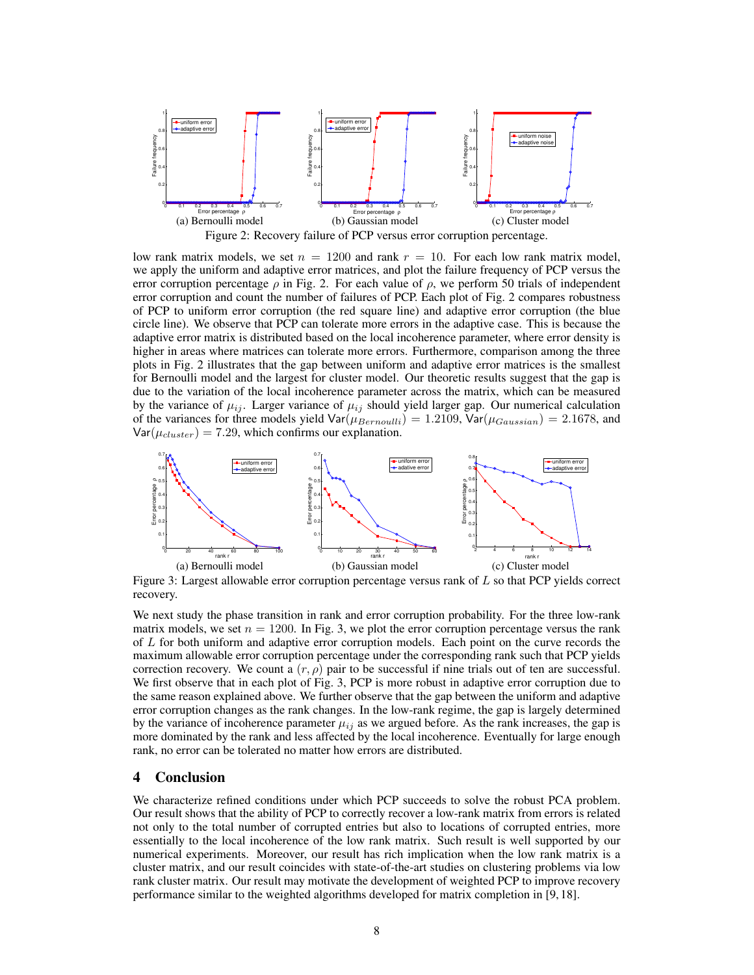<span id="page-7-0"></span>

low rank matrix models, we set  $n = 1200$  and rank  $r = 10$ . For each low rank matrix model, we apply the uniform and adaptive error matrices, and plot the failure frequency of PCP versus the error corruption percentage  $\rho$  in Fig. [2.](#page-7-0) For each value of  $\rho$ , we perform 50 trials of independent error corruption and count the number of failures of PCP. Each plot of Fig. [2](#page-7-0) compares robustness of PCP to uniform error corruption (the red square line) and adaptive error corruption (the blue circle line). We observe that PCP can tolerate more errors in the adaptive case. This is because the adaptive error matrix is distributed based on the local incoherence parameter, where error density is higher in areas where matrices can tolerate more errors. Furthermore, comparison among the three plots in Fig. [2](#page-7-0) illustrates that the gap between uniform and adaptive error matrices is the smallest for Bernoulli model and the largest for cluster model. Our theoretic results suggest that the gap is due to the variation of the local incoherence parameter across the matrix, which can be measured by the variance of  $\mu_{ij}$ . Larger variance of  $\mu_{ij}$  should yield larger gap. Our numerical calculation of the variances for three models yield  $\text{Var}(\mu_{Bernoulli})=1.2109$ ,  $\text{Var}(\mu_{Gaussian})=2.1678$ , and  $Var(\mu_{cluster}) = 7.29$ , which confirms our explanation.

<span id="page-7-1"></span>

Figure 3: Largest allowable error corruption percentage versus rank of *L* so that PCP yields correct recovery.

We next study the phase transition in rank and error corruption probability. For the three low-rank matrix models, we set  $n = 1200$ . In Fig. [3,](#page-7-1) we plot the error corruption percentage versus the rank of *L* for both uniform and adaptive error corruption models. Each point on the curve records the maximum allowable error corruption percentage under the corresponding rank such that PCP yields correction recovery. We count a  $(r, \rho)$  pair to be successful if nine trials out of ten are successful. We first observe that in each plot of Fig. [3,](#page-7-1) PCP is more robust in adaptive error corruption due to the same reason explained above. We further observe that the gap between the uniform and adaptive error corruption changes as the rank changes. In the low-rank regime, the gap is largely determined by the variance of incoherence parameter  $\mu_{ij}$  as we argued before. As the rank increases, the gap is more dominated by the rank and less affected by the local incoherence. Eventually for large enough rank, no error can be tolerated no matter how errors are distributed.

## 4 Conclusion

We characterize refined conditions under which PCP succeeds to solve the robust PCA problem. Our result shows that the ability of PCP to correctly recover a low-rank matrix from errors is related not only to the total number of corrupted entries but also to locations of corrupted entries, more essentially to the local incoherence of the low rank matrix. Such result is well supported by our numerical experiments. Moreover, our result has rich implication when the low rank matrix is a cluster matrix, and our result coincides with state-of-the-art studies on clustering problems via low rank cluster matrix. Our result may motivate the development of weighted PCP to improve recovery performance similar to the weighted algorithms developed for matrix completion in [\[9,](#page-8-6) [18\]](#page-8-14).